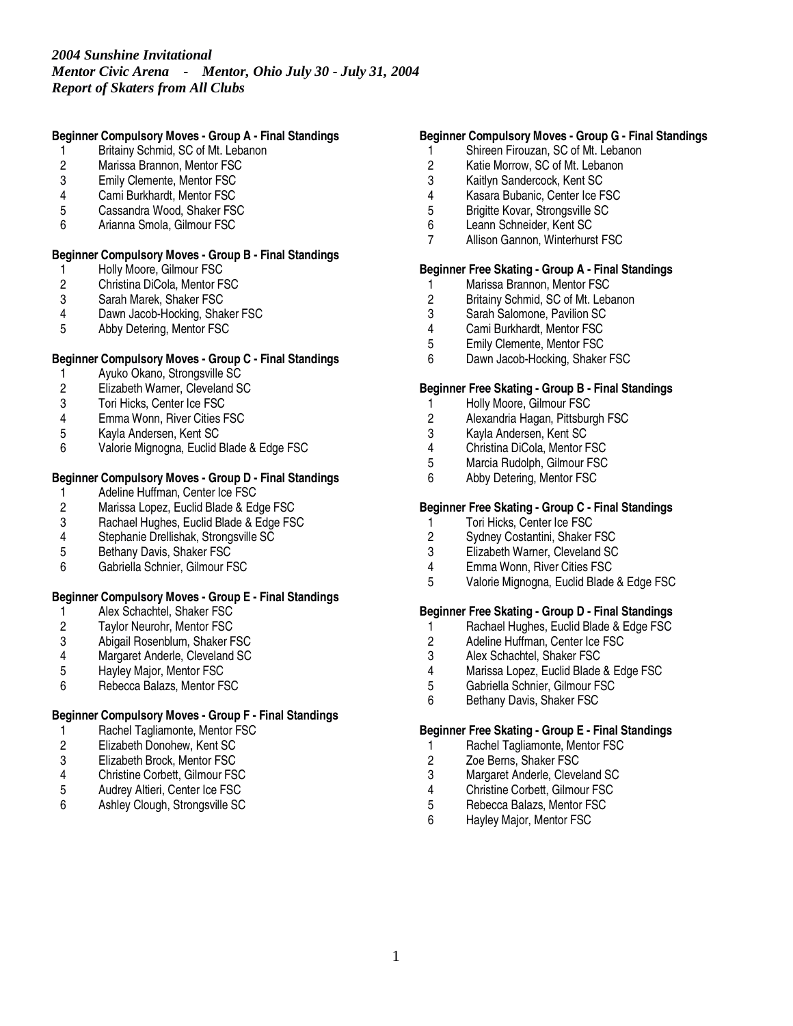# *2004 Sunshine Invitational Mentor Civic Arena - Mentor, Ohio July 30 - July 31, 2004 Report of Skaters from All Clubs*

### **Beginner Compulsory Moves - Group A - Final Standings**

- 1 Britainy Schmid, SC of Mt. Lebanon
- 2 Marissa Brannon, Mentor FSC<br>3 Emily Clemente, Mentor FSC
- Emily Clemente, Mentor FSC
- 4 Cami Burkhardt, Mentor FSC
- 5 Cassandra Wood, Shaker FSC
- 6 Arianna Smola, Gilmour FSC

### **Beginner Compulsory Moves - Group B - Final Standings**

- 1 Holly Moore, Gilmour FSC<br>2 Christina DiCola, Mentor F.
- 2 Christina DiCola, Mentor FSC<br>3 Sarah Marek, Shaker FSC
- Sarah Marek, Shaker FSC
- 4 Dawn Jacob-Hocking, Shaker FSC<br>5 Abby Detering. Mentor FSC
- 5 Abby Detering, Mentor FSC

### **Beginner Compulsory Moves - Group C - Final Standings**

- 1 Ayuko Okano, Strongsville SC<br>2 Elizabeth Warner, Cleveland S
- 2 Elizabeth Warner, Cleveland SC<br>3 Tori Hicks. Center Ice FSC
- Tori Hicks, Center Ice FSC
- 4 Emma Wonn, River Cities FSC
- 5 Kayla Andersen, Kent SC
- 6 Valorie Mignogna, Euclid Blade & Edge FSC

## **Beginner Compulsory Moves - Group D - Final Standings**

- 1 Adeline Huffman, Center Ice FSC<br>2 Marissa Lopez, Euclid Blade & Ed
- 2 Marissa Lopez, Euclid Blade & Edge FSC<br>3 Rachael Hughes, Euclid Blade & Edge FS
- 3 Rachael Hughes, Euclid Blade & Edge FSC
- Stephanie Drellishak, Strongsville SC
- 5 Bethany Davis, Shaker FSC
- 6 Gabriella Schnier, Gilmour FSC

### **Beginner Compulsory Moves - Group E - Final Standings**

- 1 Alex Schachtel, Shaker FSC<br>2 Taylor Neurohr, Mentor FSC
- 2 Taylor Neurohr, Mentor FSC<br>3 Abigail Rosenblum, Shaker F
- 3 Abigail Rosenblum, Shaker FSC
- 4 Margaret Anderle, Cleveland SC<br>5 Havlev Maior. Mentor FSC
- 5 Hayley Major, Mentor FSC
- 6 Rebecca Balazs, Mentor FSC

## **Beginner Compulsory Moves - Group F - Final Standings**

- 1 Rachel Tagliamonte, Mentor FSC<br>2 Elizabeth Donohew, Kent SC
- 2 Elizabeth Donohew, Kent SC
- 3 Elizabeth Brock, Mentor FSC<br>4 Christine Corbett. Gilmour FS
- 4 Christine Corbett, Gilmour FSC<br>5 Audrey Altieri, Center Ice FSC
- 5 Audrey Altieri, Center Ice FSC
- 6 Ashley Clough, Strongsville SC

#### **Beginner Compulsory Moves - Group G - Final Standings**

- 1 Shireen Firouzan, SC of Mt. Lebanon
- 2 Katie Morrow, SC of Mt. Lebanon<br>3 Kaitlyn Sandercock. Kent SC
- Kaitlyn Sandercock, Kent SC
- 4 Kasara Bubanic, Center Ice FSC
- 5 Brigitte Kovar, Strongsville SC<br>6 Leann Schneider, Kent SC
- Leann Schneider, Kent SC
- 7 Allison Gannon, Winterhurst FSC

### **Beginner Free Skating - Group A - Final Standings**

- 1 Marissa Brannon, Mentor FSC<br>2 Britainy Schmid, SC of Mt. Leb
- 2 Britainy Schmid, SC of Mt. Lebanon<br>3 Sarah Salomone. Pavilion SC
- 3 Sarah Salomone, Pavilion SC<br>4 Cami Burkhardt. Mentor FSC
- 4 Cami Burkhardt, Mentor FSC<br>5 Emily Clemente. Mentor FSC
- 5 Emily Clemente, Mentor FSC
- 6 Dawn Jacob-Hocking, Shaker FSC

## **Beginner Free Skating - Group B - Final Standings**

- 1 Holly Moore, Gilmour FSC
- 2 Alexandria Hagan, Pittsburgh FSC
- 3 Kayla Andersen, Kent SC
- 4 Christina DiCola, Mentor FSC<br>5 Marcia Rudolph, Gilmour FSC
- 5 Marcia Rudolph, Gilmour FSC<br>6 Abby Detering, Mentor FSC
- Abby Detering, Mentor FSC

#### **Beginner Free Skating - Group C - Final Standings**

- 1 Tori Hicks, Center Ice FSC<br>2 Sydney Costantini, Shaker
- Sydney Costantini, Shaker FSC
- 3 Elizabeth Warner, Cleveland SC
- 4 Emma Wonn, River Cities FSC
- 5 Valorie Mignogna, Euclid Blade & Edge FSC

#### **Beginner Free Skating - Group D - Final Standings**

- 1 Rachael Hughes, Euclid Blade & Edge FSC<br>2 Adeline Huffman, Center Ice FSC
- 2 Adeline Huffman, Center Ice FSC<br>3 Alex Schachtel. Shaker FSC
- 3 Alex Schachtel, Shaker FSC<br>4 Marissa Lopez, Euclid Blade
- 4 Marissa Lopez, Euclid Blade & Edge FSC<br>5 Gabriella Schnier. Gilmour FSC
- 5 Gabriella Schnier, Gilmour FSC
- 6 Bethany Davis, Shaker FSC

#### **Beginner Free Skating - Group E - Final Standings**

- 1 Rachel Tagliamonte, Mentor FSC
- 2 Zoe Berns, Shaker FSC<br>3 Margaret Anderle, Cleve
- 3 Margaret Anderle, Cleveland SC<br>4 Christine Corbett, Gilmour FSC
- 4 Christine Corbett, Gilmour FSC<br>5 Rebecca Balazs. Mentor FSC
- 5 Rebecca Balazs, Mentor FSC<br>6 Hayley Maior Mentor FSC
- Hayley Major, Mentor FSC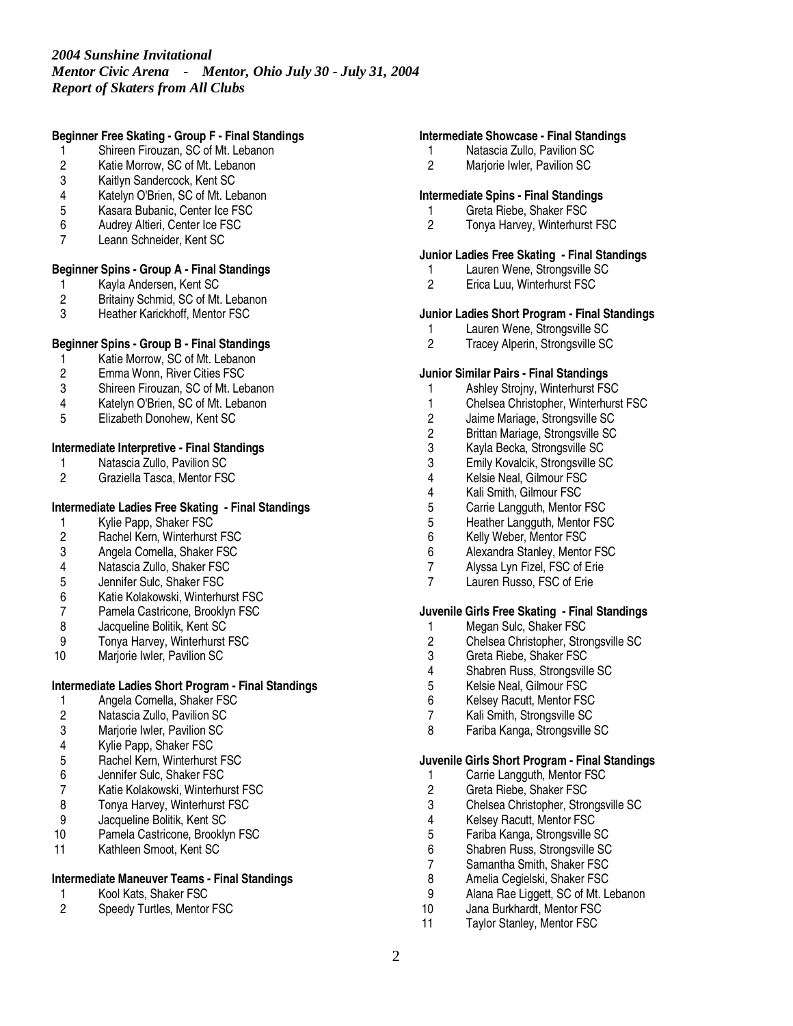# *2004 Sunshine Invitational Mentor Civic Arena - Mentor, Ohio July 30 - July 31, 2004 Report of Skaters from All Clubs*

### **Beginner Free Skating - Group F - Final Standings**

- 1 Shireen Firouzan, SC of Mt. Lebanon
- 2 Katie Morrow, SC of Mt. Lebanon<br>3 Kaitlyn Sandercock. Kent SC
- Kaitlyn Sandercock, Kent SC
- 4 Katelyn O'Brien, SC of Mt. Lebanon
- 5 Kasara Bubanic, Center Ice FSC<br>6 Audrey Altieri. Center Ice FSC
- 6 Audrey Altieri, Center Ice FSC
- 7 Leann Schneider, Kent SC

### **Beginner Spins - Group A - Final Standings**

- 1 Kayla Andersen, Kent SC<br>2 Britainy Schmid, SC of Mt.
- 2 Britainy Schmid, SC of Mt. Lebanon<br>3 Heather Karickhoff. Mentor FSC
- Heather Karickhoff, Mentor FSC

### **Beginner Spins - Group B - Final Standings**

- 1 Katie Morrow, SC of Mt. Lebanon<br>2 Emma Wonn, River Cities FSC
- 2 Emma Wonn, River Cities FSC<br>3 Shireen Firouzan, SC of Mt. Let
- 3 Shireen Firouzan, SC of Mt. Lebanon
- 4 Katelyn O'Brien, SC of Mt. Lebanon
- 5 Elizabeth Donohew, Kent SC

### **Intermediate Interpretive - Final Standings**

- 1 Natascia Zullo, Pavilion SC<br>2 Graziella Tasca, Mentor FS
- Graziella Tasca, Mentor FSC

### **Intermediate Ladies Free Skating - Final Standings**

- 1 Kylie Papp, Shaker FSC<br>2 Rachel Kern. Winterhurst
- 2 Rachel Kern, Winterhurst FSC
- 3 Angela Comella, Shaker FSC
- 4 Natascia Zullo, Shaker FSC
- 5 Jennifer Sulc, Shaker FSC
- 6 Katie Kolakowski, Winterhurst FSC
- 7 Pamela Castricone, Brooklyn FSC<br>8 Jacqueline Bolitik. Kent SC
- 8 Jacqueline Bolitik, Kent SC<br>9 Tonya Harvey, Winterhurst
- Tonya Harvey, Winterhurst FSC
- 10 Marjorie Iwler, Pavilion SC

# **Intermediate Ladies Short Program - Final Standings**

- 1 Angela Comella, Shaker FSC<br>2 Natascia Zullo, Pavilion SC
- 2 Natascia Zullo, Pavilion SC
- Marjorie Iwler, Pavilion SC
- 4 Kylie Papp, Shaker FSC
- 5 Rachel Kern, Winterhurst FSC<br>6 Jennifer Sulc, Shaker FSC
- 6 Jennifer Sulc, Shaker FSC
- 7 Katie Kolakowski, Winterhurst FSC<br>8 Tonva Harvev. Winterhurst FSC
- 8 Tonya Harvey, Winterhurst FSC<br>9 Jacqueline Bolitik, Kent SC
- Jacqueline Bolitik, Kent SC
- 10 Pamela Castricone, Brooklyn FSC
- 11 Kathleen Smoot, Kent SC

### **Intermediate Maneuver Teams - Final Standings**

- 1 Kool Kats, Shaker FSC<br>2 Speedy Turtles, Mentor
- Speedy Turtles, Mentor FSC

#### **Intermediate Showcase - Final Standings**

- 1 Natascia Zullo, Pavilion SC
- 2 Marjorie Iwler, Pavilion SC

### **Intermediate Spins - Final Standings**

- 1 Greta Riebe, Shaker FSC<br>2 Tonva Harvev. Winterhurs
- 2 Tonya Harvey, Winterhurst FSC

#### **Junior Ladies Free Skating - Final Standings**

- 1 Lauren Wene, Strongsville SC<br>2 Erica Luu, Winterhurst FSC
- 2 Erica Luu, Winterhurst FSC

# **Junior Ladies Short Program - Final Standings**

- 1 Lauren Wene, Strongsville SC<br>2 Tracev Alperin. Strongsville SC
- 2 Tracey Alperin, Strongsville SC

#### **Junior Similar Pairs - Final Standings**

- 1 Ashley Strojny, Winterhurst FSC
- 1 Chelsea Christopher, Winterhurst FSC
- 2 Jaime Mariage, Strongsville SC
- 2 Brittan Mariage, Strongsville SC
- 3 Kayla Becka, Strongsville SC
- 3 Emily Kovalcik, Strongsville SC<br>4 Kelsie Neal, Gilmour FSC
- 4 Kelsie Neal, Gilmour FSC
- 4 Kali Smith, Gilmour FSC<br>5 Carrie Langguth, Mentor
- 5 Carrie Langguth, Mentor FSC<br>5 Heather Langguth, Mentor FS
- 5 Heather Langguth, Mentor FSC<br>6 Kelly Weber. Mentor FSC
- Kelly Weber, Mentor FSC
- 6 Alexandra Stanley, Mentor FSC<br>7 Alvssa Lyn Fizel. FSC of Erie
- Alyssa Lyn Fizel, FSC of Erie
- 7 Lauren Russo, FSC of Erie

#### **Juvenile Girls Free Skating - Final Standings**

- 1 Megan Sulc, Shaker FSC<br>2 Chelsea Christopher, Stro
- 2 Chelsea Christopher, Strongsville SC<br>3 Greta Riebe, Shaker FSC
- 3 Greta Riebe, Shaker FSC
- 4 Shabren Russ, Strongsville SC<br>5 Kelsie Neal, Gilmour FSC
- 5 Kelsie Neal, Gilmour FSC
- 6 Kelsey Racutt, Mentor FSC
- 7 Kali Smith, Strongsville SC
- 8 Fariba Kanga, Strongsville SC

#### **Juvenile Girls Short Program - Final Standings**

- 1 Carrie Langguth, Mentor FSC
- 2 Greta Riebe, Shaker FSC
- 3 Chelsea Christopher, Strongsville SC<br>4 Kelsev Racutt. Mentor FSC
- 4 Kelsey Racutt, Mentor FSC<br>5 Fariba Kanga, Strongsville S
- 5 Fariba Kanga, Strongsville SC
- 6 Shabren Russ, Strongsville SC
- 7 Samantha Smith, Shaker FSC<br>8 Amelia Cegielski, Shaker FSC
- 8 Amelia Cegielski, Shaker FSC
- 9 Alana Rae Liggett, SC of Mt. Lebanon<br>10 Jana Burkhardt. Mentor FSC
- 10 Jana Burkhardt, Mentor FSC<br>11 Taylor Stanley Mentor FSC
- Taylor Stanley, Mentor FSC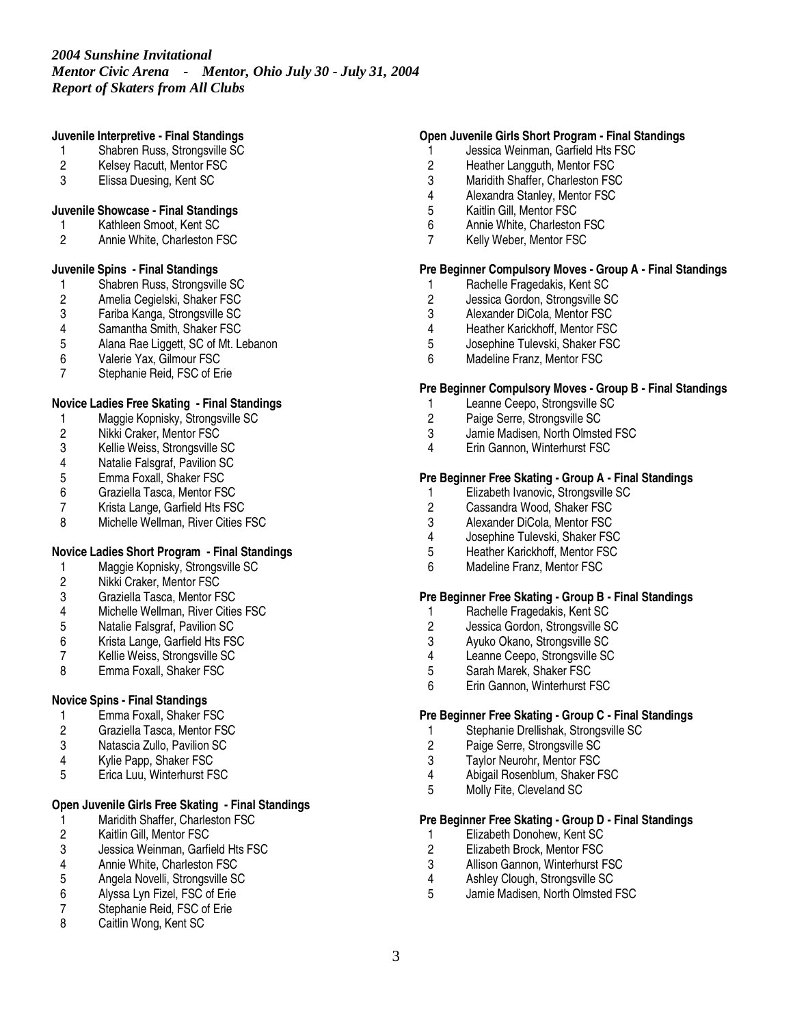#### **Juvenile Interpretive - Final Standings**

- 1 Shabren Russ, Strongsville SC
- 2 Kelsey Racutt, Mentor FSC<br>3 Elissa Duesing. Kent SC
- Elissa Duesing, Kent SC
- 
- **Juvenile Showcase - Final Standings** 1 Kathleen Smoot, Kent SC
- 2 Annie White, Charleston FSC
- 

## **Juvenile Spins - Final Standings**

- 1 Shabren Russ, Strongsville SC<br>2 Amelia Cegielski, Shaker FSC
- 2 Amelia Cegielski, Shaker FSC<br>3 Fariba Kanga, Strongsville SC
- 3 Fariba Kanga, Strongsville SC
- 4 Samantha Smith, Shaker FSC<br>5 Alana Rae Liggett, SC of Mt. L
- 5 Alana Rae Liggett, SC of Mt. Lebanon
- 
- 6 Valerie Yax, Gilmour FSC Stephanie Reid, FSC of Erie

## **Novice Ladies Free Skating - Final Standings**

- 1 Maggie Kopnisky, Strongsville SC
- 2 Nikki Craker, Mentor FSC
- 3 Kellie Weiss, Strongsville SC<br>4 Natalie Falsgraf, Pavilion SC
- 4 Natalie Falsgraf, Pavilion SC
- 5 Emma Foxall, Shaker FSC
- 6 Graziella Tasca, Mentor FSC
- 7 Krista Lange, Garfield Hts FSC<br>8 Michelle Wellman River Cities I
- Michelle Wellman, River Cities FSC

# **Novice Ladies Short Program - Final Standings**

- 1 Maggie Kopnisky, Strongsville SC<br>2 Nikki Craker, Mentor FSC
- 2 Nikki Craker, Mentor FSC
- 3 Graziella Tasca, Mentor FSC
- 4 Michelle Wellman, River Cities FSC<br>5 Natalie Falsgraf. Pavilion SC
- 5 Natalie Falsgraf, Pavilion SC<br>6 Krista Lange, Garfield Hts FS
- 6 Krista Lange, Garfield Hts FSC
- 7 Kellie Weiss, Strongsville SC<br>8 Emma Foxall, Shaker FSC
- Emma Foxall, Shaker FSC

### **Novice Spins - Final Standings**

- 1 Emma Foxall, Shaker FSC<br>2 Graziella Tasca, Mentor FS
- 2 Graziella Tasca, Mentor FSC
- 3 Natascia Zullo, Pavilion SC
- 4 Kylie Papp, Shaker FSC<br>5 Erica Luu. Winterhurst F
- 5 Erica Luu, Winterhurst FSC

# **Open Juvenile Girls Free Skating - Final Standings**

- 1 Maridith Shaffer, Charleston FSC<br>2 Kaitlin Gill, Mentor FSC
- Kaitlin Gill, Mentor FSC
- 3 Jessica Weinman, Garfield Hts FSC<br>4 Annie White. Charleston FSC
- 4 Annie White, Charleston FSC<br>5 Angela Novelli, Strongsville SC
- 5 Angela Novelli, Strongsville SC
- 6 Alyssa Lyn Fizel, FSC of Erie
- 7 Stephanie Reid, FSC of Erie<br>8 Caitlin Wong Kent SC
- Caitlin Wong, Kent SC

### **Open Juvenile Girls Short Program - Final Standings**

- 1 Jessica Weinman, Garfield Hts FSC
- 2 Heather Langguth, Mentor FSC<br>3 Maridith Shaffer. Charleston FS
- Maridith Shaffer, Charleston FSC
- 4 Alexandra Stanley, Mentor FSC
- 5 Kaitlin Gill, Mentor FSC<br>6 Annie White, Charlestor
- 6 Annie White, Charleston FSC
- 7 Kelly Weber, Mentor FSC

#### **Pre Beginner Compulsory Moves - Group A - Final Standings**

- 1 Rachelle Fragedakis, Kent SC<br>2 Jessica Gordon, Strongsville S
- 2 Jessica Gordon, Strongsville SC<br>3 Alexander DiCola, Mentor FSC
- 3 Alexander DiCola, Mentor FSC<br>4 Heather Karickhoff Mentor FSC
- 4 Heather Karickhoff, Mentor FSC<br>5 Josephine Tulevski, Shaker FSC
- 5 Josephine Tulevski, Shaker FSC
- 6 Madeline Franz, Mentor FSC

### **Pre Beginner Compulsory Moves - Group B - Final Standings**

- 1 Leanne Ceepo, Strongsville SC
- 2 Paige Serre, Strongsville SC
- 3 Jamie Madisen, North Olmsted FSC
- 4 Erin Gannon, Winterhurst FSC

### **Pre Beginner Free Skating - Group A - Final Standings**

- 1 Elizabeth Ivanovic, Strongsville SC<br>2 Cassandra Wood, Shaker FSC
- 2 Cassandra Wood, Shaker FSC<br>3 Alexander DiCola, Mentor FSC
- 
- 3 Alexander DiCola, Mentor FSC<br>4 Josephine Tulevski, Shaker FS 4 Josephine Tulevski, Shaker FSC
- 5 Heather Karickhoff, Mentor FSC
- 6 Madeline Franz, Mentor FSC

#### **Pre Beginner Free Skating - Group B - Final Standings**

- 1 Rachelle Fragedakis, Kent SC<br>2 Jessica Gordon. Strongsville S
- 2 Jessica Gordon, Strongsville SC<br>3 Ayuko Okano, Strongsville SC
- 3 Ayuko Okano, Strongsville SC
- 4 Leanne Ceepo, Strongsville SC<br>5 Sarah Marek, Shaker FSC
- 5 Sarah Marek, Shaker FSC
- 6 Erin Gannon, Winterhurst FSC

### **Pre Beginner Free Skating - Group C - Final Standings**

- 1 Stephanie Drellishak, Strongsville SC<br>2 Paige Serre, Strongsville SC
- 2 Paige Serre, Strongsville SC
- 3 Taylor Neurohr, Mentor FSC<br>4 Abigail Rosenblum Shaker F
- 4 Abigail Rosenblum, Shaker FSC
- 5 Molly Fite, Cleveland SC

# **Pre Beginner Free Skating - Group D - Final Standings**

- 1 Elizabeth Donohew, Kent SC<br>2 Elizabeth Brock, Mentor FSC
- 2 Elizabeth Brock, Mentor FSC<br>3 Allison Gannon, Winterhurst F
- 3 Allison Gannon, Winterhurst FSC<br>4 Ashley Clough, Strongsville SC
- 4 Ashley Clough, Strongsville SC<br>5 Jamie Madisen, North Olmsted I
- 5 Jamie Madisen, North Olmsted FSC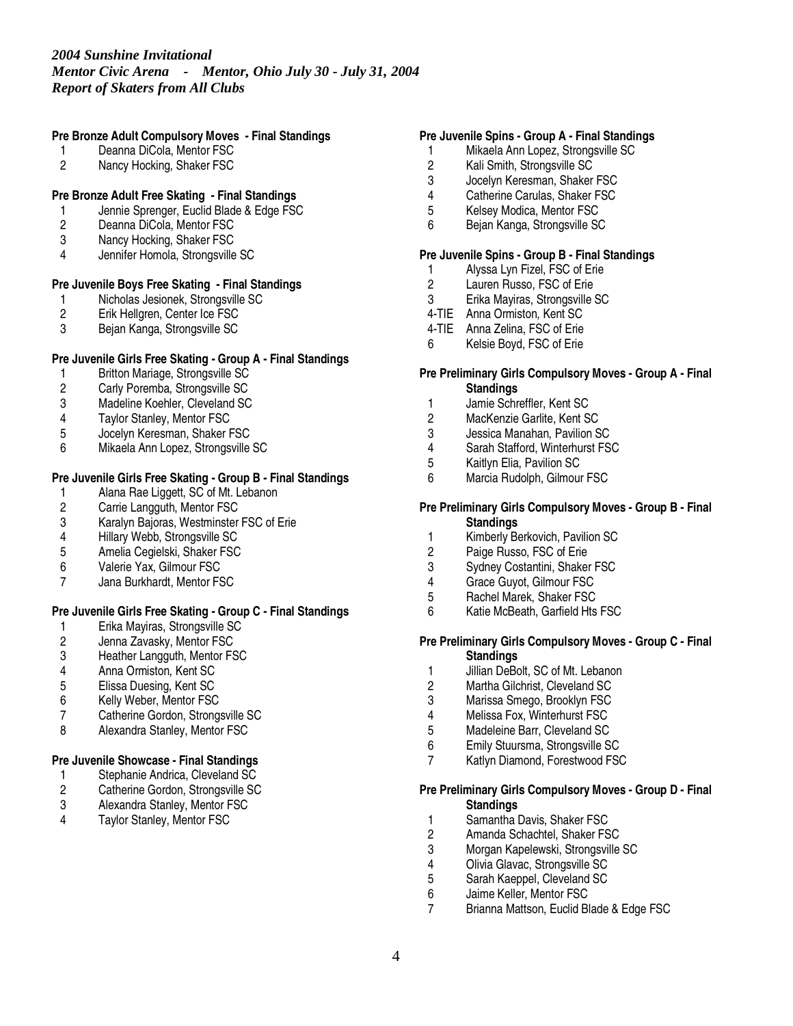## **Pre Bronze Adult Compulsory Moves - Final Standings**

- 1 Deanna DiCola, Mentor FSC
- 2 Nancy Hocking, Shaker FSC

# **Pre Bronze Adult Free Skating - Final Standings**

- 1 Jennie Sprenger, Euclid Blade & Edge FSC<br>2 Deanna DiCola. Mentor FSC
- Deanna DiCola, Mentor FSC
- 3 Nancy Hocking, Shaker FSC
- 4 Jennifer Homola, Strongsville SC

# **Pre Juvenile Boys Free Skating - Final Standings**

- 1 Nicholas Jesionek, Strongsville SC<br>2 Erik Hellgren, Center Ice FSC
- 2 Erik Hellgren, Center Ice FSC<br>3 Beian Kanga, Strongsville SC
- 3 Bejan Kanga, Strongsville SC

## **Pre Juvenile Girls Free Skating - Group A - Final Standings**

- 1 Britton Mariage, Strongsville SC<br>2 Carly Poremba, Strongsville SC
- 2 Carly Poremba, Strongsville SC<br>3 Madeline Koehler. Cleveland SC
- Madeline Koehler, Cleveland SC
- 4 Taylor Stanley, Mentor FSC
- 5 Jocelyn Keresman, Shaker FSC
- 6 Mikaela Ann Lopez, Strongsville SC

# **Pre Juvenile Girls Free Skating - Group B - Final Standings**

- 1 Alana Rae Liggett, SC of Mt. Lebanon<br>2 Carrie Langguth, Mentor FSC
- 2 Carrie Langguth, Mentor FSC<br>3 Karalyn Baioras. Westminster
- 3 Karalyn Bajoras, Westminster FSC of Erie<br>4 Hillary Webb. Strongsville SC
- 4 Hillary Webb, Strongsville SC
- 5 Amelia Cegielski, Shaker FSC
- 6 Valerie Yax, Gilmour FSC
- 7 Jana Burkhardt, Mentor FSC

### **Pre Juvenile Girls Free Skating - Group C - Final Standings**

- 1 Erika Mayiras, Strongsville SC<br>2 Jenna Zavasky, Mentor FSC
- 2 Jenna Zavasky, Mentor FSC<br>3 Heather Langguth, Mentor FS
- 3 Heather Langguth, Mentor FSC<br>4 Anna Ormiston. Kent SC
- 4 Anna Ormiston, Kent SC<br>5 Elissa Duesing, Kent SC
- 5 Elissa Duesing, Kent SC
- 6 Kelly Weber, Mentor FSC
- 7 Catherine Gordon, Strongsville SC
- 8 Alexandra Stanley, Mentor FSC

### **Pre Juvenile Showcase - Final Standings**

- 1 Stephanie Andrica, Cleveland SC<br>2 Catherine Gordon, Strongsville SC
- 2 Catherine Gordon, Strongsville SC<br>3 Alexandra Stanlev. Mentor FSC
- 3 Alexandra Stanley, Mentor FSC<br>4 Taylor Stanley Mentor FSC
- Taylor Stanley, Mentor FSC

### **Pre Juvenile Spins - Group A - Final Standings**

- 1 Mikaela Ann Lopez, Strongsville SC
- 2 Kali Smith, Strongsville SC<br>3 Jocelyn Keresman, Shaker
- Jocelyn Keresman, Shaker FSC
- 4 Catherine Carulas, Shaker FSC
- 5 Kelsey Modica, Mentor FSC<br>6 Bejan Kanga, Strongsville SQ
- 6 Bejan Kanga, Strongsville SC

#### **Pre Juvenile Spins - Group B - Final Standings**

- 1 Alyssa Lyn Fizel, FSC of Erie<br>2 Lauren Russo. FSC of Erie
- Lauren Russo, FSC of Erie
- 3 Erika Mayiras, Strongsville SC
- 4-TIE Anna Ormiston, Kent SC
- 4-TIE Anna Zelina, FSC of Erie
- 6 Kelsie Boyd, FSC of Erie

#### **Pre Preliminary Girls Compulsory Moves - Group A - Final Standings**

- 1 Jamie Schreffler, Kent SC
- 2 MacKenzie Garlite, Kent SC
- 3 Jessica Manahan, Pavilion SC
- 4 Sarah Stafford, Winterhurst FSC<br>5 Kaitlyn Elia, Pavilion SC
- 5 Kaitlyn Elia, Pavilion SC<br>6 Marcia Rudolph, Gilmoui
- Marcia Rudolph, Gilmour FSC

#### **Pre Preliminary Girls Compulsory Moves - Group B - Final Standings**

- 1 Kimberly Berkovich, Pavilion SC
- 2 Paige Russo, FSC of Erie<br>3 Sydney Costantini, Shaker
- Sydney Costantini, Shaker FSC
- 4 Grace Guyot, Gilmour FSC
- 5 Rachel Marek, Shaker FSC
- 6 Katie McBeath, Garfield Hts FSC

#### **Pre Preliminary Girls Compulsory Moves - Group C - Final Standings**

- 1 Jillian DeBolt, SC of Mt. Lebanon<br>2 Martha Gilchrist. Cleveland SC
- 2 Martha Gilchrist, Cleveland SC
- 3 Marissa Smego, Brooklyn FSC
- 
- 4 Melissa Fox, Winterhurst FSC 5 Madeleine Barr, Cleveland SC
- 6 Emily Stuursma, Strongsville SC
- 7 Katlyn Diamond, Forestwood FSC

#### **Pre Preliminary Girls Compulsory Moves - Group D - Final Standings**

- 1 Samantha Davis, Shaker FSC
- 2 Amanda Schachtel, Shaker FSC
- 3 Morgan Kapelewski, Strongsville SC<br>4 Olivia Glavac, Strongsville SC
- 4 Olivia Glavac, Strongsville SC<br>5 Sarah Kaeppel. Cleveland SC
- 5 Sarah Kaeppel, Cleveland SC
- 6 Jaime Keller, Mentor FSC<br>7 Brianna Mattson, Euclid Bl
- 7 Brianna Mattson, Euclid Blade & Edge FSC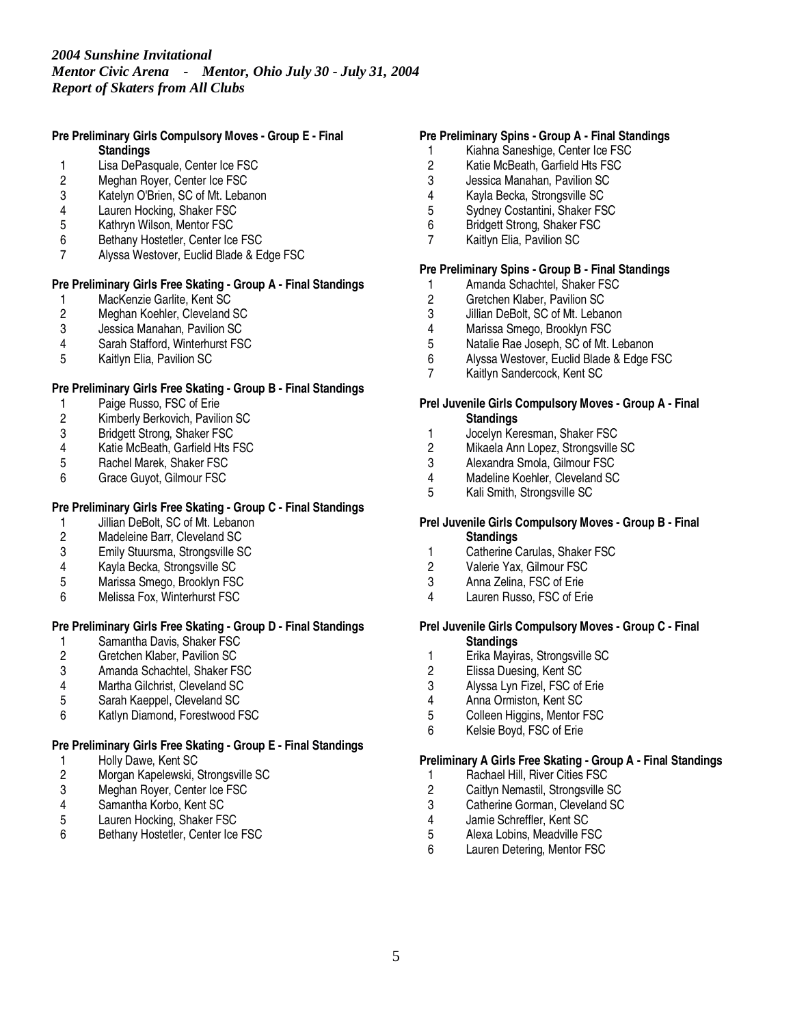#### **Pre Preliminary Girls Compulsory Moves - Group E - Final Standings**

- 1 Lisa DePasquale, Center Ice FSC<br>2 Meghan Rover, Center Ice FSC
- Meghan Royer, Center Ice FSC
- 3 Katelyn O'Brien, SC of Mt. Lebanon
- 4 Lauren Hocking, Shaker FSC<br>5 Kathrvn Wilson. Mentor FSC
- 5 Kathryn Wilson, Mentor FSC
- 6 Bethany Hostetler, Center Ice FSC
- 7 Alyssa Westover, Euclid Blade & Edge FSC

# **Pre Preliminary Girls Free Skating - Group A - Final Standings**

- 1 MacKenzie Garlite, Kent SC<br>2 Meghan Koehler, Cleveland
- 2 Meghan Koehler, Cleveland SC<br>3 Jessica Manahan. Pavilion SC
- 3 Jessica Manahan, Pavilion SC<br>4 Sarah Stafford. Winterhurst FS
- Sarah Stafford, Winterhurst FSC
- 5 Kaitlyn Elia, Pavilion SC

## **Pre Preliminary Girls Free Skating - Group B - Final Standings**

- 1 Paige Russo, FSC of Erie
- 2 Kimberly Berkovich, Pavilion SC
- 
- 3 Bridgett Strong, Shaker FSC<br>4 Katie McBeath. Garfield Hts F 4 Katie McBeath, Garfield Hts FSC<br>5 Rachel Marek, Shaker FSC
- 5 Rachel Marek, Shaker FSC<br>6 Grace Guvot. Gilmour FSC
- 6 Grace Guyot, Gilmour FSC

# **Pre Preliminary Girls Free Skating - Group C - Final Standings**

- 1 Jillian DeBolt, SC of Mt. Lebanon<br>2 Madeleine Barr. Cleveland SC
- 2 Madeleine Barr, Cleveland SC
- 3 Emily Stuursma, Strongsville SC
- 4 Kayla Becka, Strongsville SC
- 5 Marissa Smego, Brooklyn FSC
- 6 Melissa Fox, Winterhurst FSC

### **Pre Preliminary Girls Free Skating - Group D - Final Standings**

- 1 Samantha Davis, Shaker FSC<br>2 Gretchen Klaber, Pavilion SC
- 2 Gretchen Klaber, Pavilion SC<br>3 Amanda Schachtel, Shaker FS
- 3 Amanda Schachtel, Shaker FSC
- 4 Martha Gilchrist, Cleveland SC<br>5 Sarah Kaeppel. Cleveland SC
- 5 Sarah Kaeppel, Cleveland SC
- 6 Katlyn Diamond, Forestwood FSC

### **Pre Preliminary Girls Free Skating - Group E - Final Standings**

- 
- 1 Holly Dawe, Kent SC<br>2 Morgan Kapelewski, 9 2 Morgan Kapelewski, Strongsville SC<br>3 Meghan Royer, Center Ice FSC
- 3 Meghan Royer, Center Ice FSC<br>4 Samantha Korbo, Kent SC
- 4 Samantha Korbo, Kent SC<br>5 Lauren Hocking, Shaker FS
- Lauren Hocking, Shaker FSC
- 6 Bethany Hostetler, Center Ice FSC

### **Pre Preliminary Spins - Group A - Final Standings**

- 1 Kiahna Saneshige, Center Ice FSC
- 2 Katie McBeath, Garfield Hts FSC<br>3 Jessica Manahan. Pavilion SC
- 3 Jessica Manahan, Pavilion SC
- 4 Kayla Becka, Strongsville SC
- 5 Sydney Costantini, Shaker FSC<br>6 Bridgett Strong, Shaker FSC
- 6 Bridgett Strong, Shaker FSC
- 7 Kaitlyn Elia, Pavilion SC

## **Pre Preliminary Spins - Group B - Final Standings**

- 1 Amanda Schachtel, Shaker FSC
- 2 Gretchen Klaber, Pavilion SC<br>3 Jillian DeBolt, SC of Mt. Lebar
- 3 Jillian DeBolt, SC of Mt. Lebanon<br>4 Marissa Smego, Brooklyn FSC
- 4 Marissa Smego, Brooklyn FSC<br>5 Natalie Rae Joseph. SC of Mt. I
- Natalie Rae Joseph, SC of Mt. Lebanon
- 6 Alyssa Westover, Euclid Blade & Edge FSC
- Kaitlyn Sandercock, Kent SC

#### **Prel Juvenile Girls Compulsory Moves - Group A - Final Standings**

- 1 Jocelyn Keresman, Shaker FSC
- 2 Mikaela Ann Lopez, Strongsville SC<br>3 Alexandra Smola. Gilmour FSC
- 3 Alexandra Smola, Gilmour FSC<br>4 Madeline Koehler. Cleveland SC
- Madeline Koehler, Cleveland SC
- 5 Kali Smith, Strongsville SC

#### **Prel Juvenile Girls Compulsory Moves - Group B - Final Standings**

- 1 Catherine Carulas, Shaker FSC<br>2 Valerie Yax. Gilmour FSC
- Valerie Yax, Gilmour FSC
- 3 Anna Zelina, FSC of Erie
- 4 Lauren Russo, FSC of Erie

### **Prel Juvenile Girls Compulsory Moves - Group C - Final Standings**

- 1 Erika Mayiras, Strongsville SC<br>2 Elissa Duesing, Kent SC
- 2 Elissa Duesing, Kent SC<br>3 Alvssa Lvn Fizel. FSC of
- Alyssa Lyn Fizel, FSC of Erie
- 4 Anna Ormiston, Kent SC
- 5 Colleen Higgins, Mentor FSC
- 6 Kelsie Boyd, FSC of Erie

### **Preliminary A Girls Free Skating - Group A - Final Standings**

- 1 Rachael Hill, River Cities FSC<br>2 Caitlyn Nemastil, Strongsville 9
- 2 Caitlyn Nemastil, Strongsville SC
- 3 Catherine Gorman, Cleveland SC<br>4 Jamie Schreffler. Kent SC
- 
- 4 Jamie Schreffler, Kent SC<br>5 Alexa Lobins, Meadville FS 5 Alexa Lobins, Meadville FSC
- 6 Lauren Detering, Mentor FSC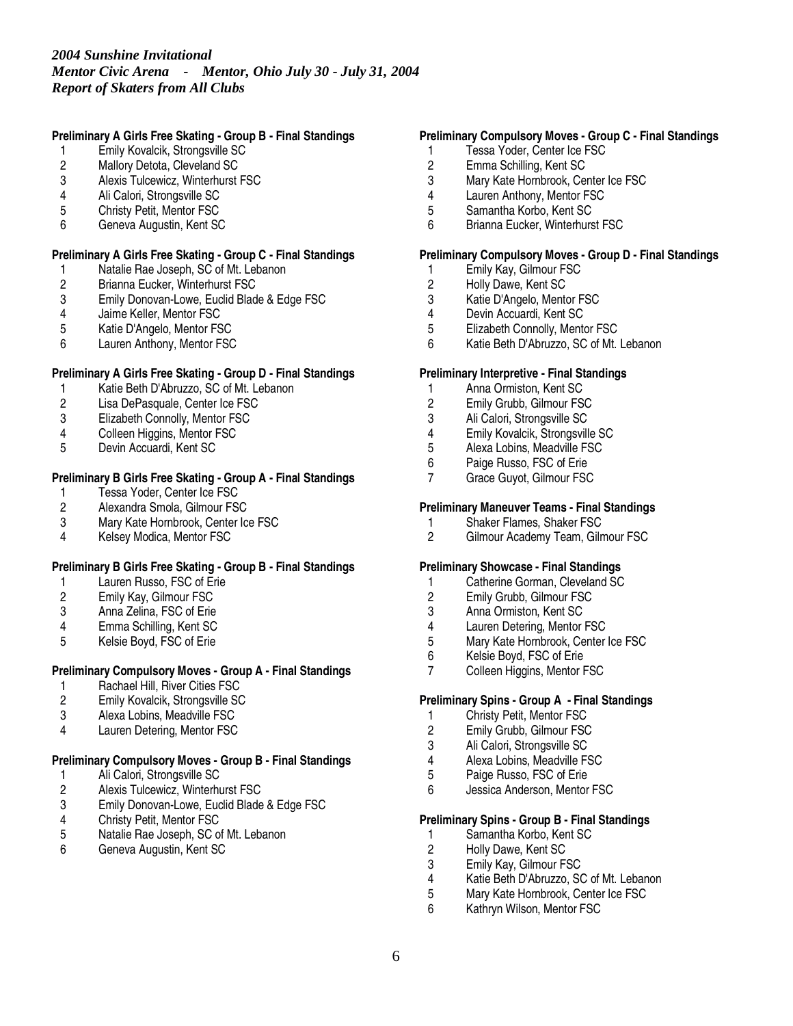### **Preliminary A Girls Free Skating - Group B - Final Standings**

- 1 Emily Kovalcik, Strongsville SC
- 2 Mallory Detota, Cleveland SC<br>3 Alexis Tulcewicz. Winterhurst I
- Alexis Tulcewicz, Winterhurst FSC
- 4 Ali Calori, Strongsville SC
- 5 Christy Petit, Mentor FSC<br>6 Geneva Augustin, Kent SC
- 6 Geneva Augustin, Kent SC

### **Preliminary A Girls Free Skating - Group C - Final Standings**

- 1 Natalie Rae Joseph, SC of Mt. Lebanon<br>2 Brianna Eucker, Winterhurst FSC
- 2 Brianna Eucker, Winterhurst FSC<br>3 Emily Donovan-Lowe, Euclid Blad
- Emily Donovan-Lowe, Euclid Blade & Edge FSC
- 4 Jaime Keller, Mentor FSC<br>5 Katie D'Angelo, Mentor FS
- 5 Katie D'Angelo, Mentor FSC
- 6 Lauren Anthony, Mentor FSC

## **Preliminary A Girls Free Skating - Group D - Final Standings**

- 1 Katie Beth D'Abruzzo, SC of Mt. Lebanon<br>2 Lisa DePasquale. Center Ice FSC
- Lisa DePasquale, Center Ice FSC
- 3 Elizabeth Connolly, Mentor FSC
- 
- 4 Colleen Higgins, Mentor FSC<br>5 Devin Accuardi. Kent SC 5 Devin Accuardi, Kent SC

# **Preliminary B Girls Free Skating - Group A - Final Standings**

- 1 Tessa Yoder, Center Ice FSC<br>2 Alexandra Smola, Gilmour FS
- 2 Alexandra Smola, Gilmour FSC<br>3 Mary Kate Hornbrook. Center Ic
- 3 Mary Kate Hornbrook, Center Ice FSC<br>4 Kelsev Modica. Mentor FSC
- Kelsey Modica, Mentor FSC

### **Preliminary B Girls Free Skating - Group B - Final Standings**

- 1 Lauren Russo, FSC of Erie
- 2 Emily Kay, Gilmour FSC
- 3 Anna Zelina, FSC of Erie
- 4 Emma Schilling, Kent SC<br>5 Kelsie Boyd, FSC of Erie
- Kelsie Boyd, FSC of Erie

# **Preliminary Compulsory Moves - Group A - Final Standings**

- 1 Rachael Hill, River Cities FSC<br>2 Emily Kovalcik, Strongsville SC
- 2 Emily Kovalcik, Strongsville SC
- 3 Alexa Lobins, Meadville FSC
- 4 Lauren Detering, Mentor FSC

### **Preliminary Compulsory Moves - Group B - Final Standings**

- 1 Ali Calori, Strongsville SC<br>2 Alexis Tulcewicz, Winterhu
- 2 Alexis Tulcewicz, Winterhurst FSC<br>3 Emily Donovan-Lowe, Euclid Blade
- 3 Emily Donovan-Lowe, Euclid Blade & Edge FSC
- 4 Christy Petit, Mentor FSC<br>5 Natalie Rae Joseph, SC of
- 5 Natalie Rae Joseph, SC of Mt. Lebanon
- 6 Geneva Augustin, Kent SC

### **Preliminary Compulsory Moves - Group C - Final Standings**

- 1 Tessa Yoder, Center Ice FSC
- 2 Emma Schilling, Kent SC<br>3 Mary Kate Hornbrook. Ce
- Mary Kate Hornbrook, Center Ice FSC
- 4 Lauren Anthony, Mentor FSC
- 5 Samantha Korbo, Kent SC<br>6 Brianna Eucker, Winterhurs
- 6 Brianna Eucker, Winterhurst FSC

### **Preliminary Compulsory Moves - Group D - Final Standings**

- 1 Emily Kay, Gilmour FSC<br>2 Holly Dawe, Kent SC
- 2 Holly Dawe, Kent SC<br>3 Katie D'Angelo, Mento
- Katie D'Angelo, Mentor FSC
- 4 Devin Accuardi, Kent SC<br>5 Elizabeth Connolly, Mente
- 5 Elizabeth Connolly, Mentor FSC<br>6 Katie Beth D'Abruzzo. SC of Mt.
- Katie Beth D'Abruzzo, SC of Mt. Lebanon

### **Preliminary Interpretive - Final Standings**

- 1 Anna Ormiston, Kent SC<br>2 Emily Grubb. Gilmour FS
- 2 Emily Grubb, Gilmour FSC
- 
- 3 Ali Calori, Strongsville SC<br>4 Emily Kovalcik, Strongsvill 4 Emily Kovalcik, Strongsville SC
- 5 Alexa Lobins, Meadville FSC<br>6 Paige Russo, FSC of Erie
- 6 Paige Russo, FSC of Erie
- Grace Guyot, Gilmour FSC

## **Preliminary Maneuver Teams - Final Standings**

- 1 Shaker Flames, Shaker FSC<br>2 Gilmour Academy Team. Giln
- Gilmour Academy Team, Gilmour FSC

#### **Preliminary Showcase - Final Standings**

- 1 Catherine Gorman, Cleveland SC
- 2 Emily Grubb, Gilmour FSC
- 3 Anna Ormiston, Kent SC<br>4 Lauren Detering Mentor
- 
- 4 Lauren Detering, Mentor FSC<br>5 Mary Kate Hornbrook, Center Mary Kate Hornbrook, Center Ice FSC
- 6 Kelsie Boyd, FSC of Erie<br>7 Colleen Higgins, Mentor F
- Colleen Higgins, Mentor FSC

### **Preliminary Spins - Group A - Final Standings**

- 1 Christy Petit, Mentor FSC<br>2 Emily Grubb, Gilmour FSC
- 2 Emily Grubb, Gilmour FSC<br>3 Ali Calori, Strongsville SC
- Ali Calori, Strongsville SC
- 4 Alexa Lobins, Meadville FSC<br>5 Paige Russo, FSC of Erie
- Paige Russo, FSC of Erie
- 6 Jessica Anderson, Mentor FSC

# **Preliminary Spins - Group B - Final Standings**

- 1 Samantha Korbo, Kent SC<br>2 Holly Dawe, Kent SC
- 2 Holly Dawe, Kent SC<br>3 Emily Kay, Gilmour FS
- 3 Emily Kay, Gilmour FSC<br>4 Katie Beth D'Abruzzo. S0
- 4 Katie Beth D'Abruzzo, SC of Mt. Lebanon
- Mary Kate Hornbrook, Center Ice FSC
- 6 Kathryn Wilson, Mentor FSC